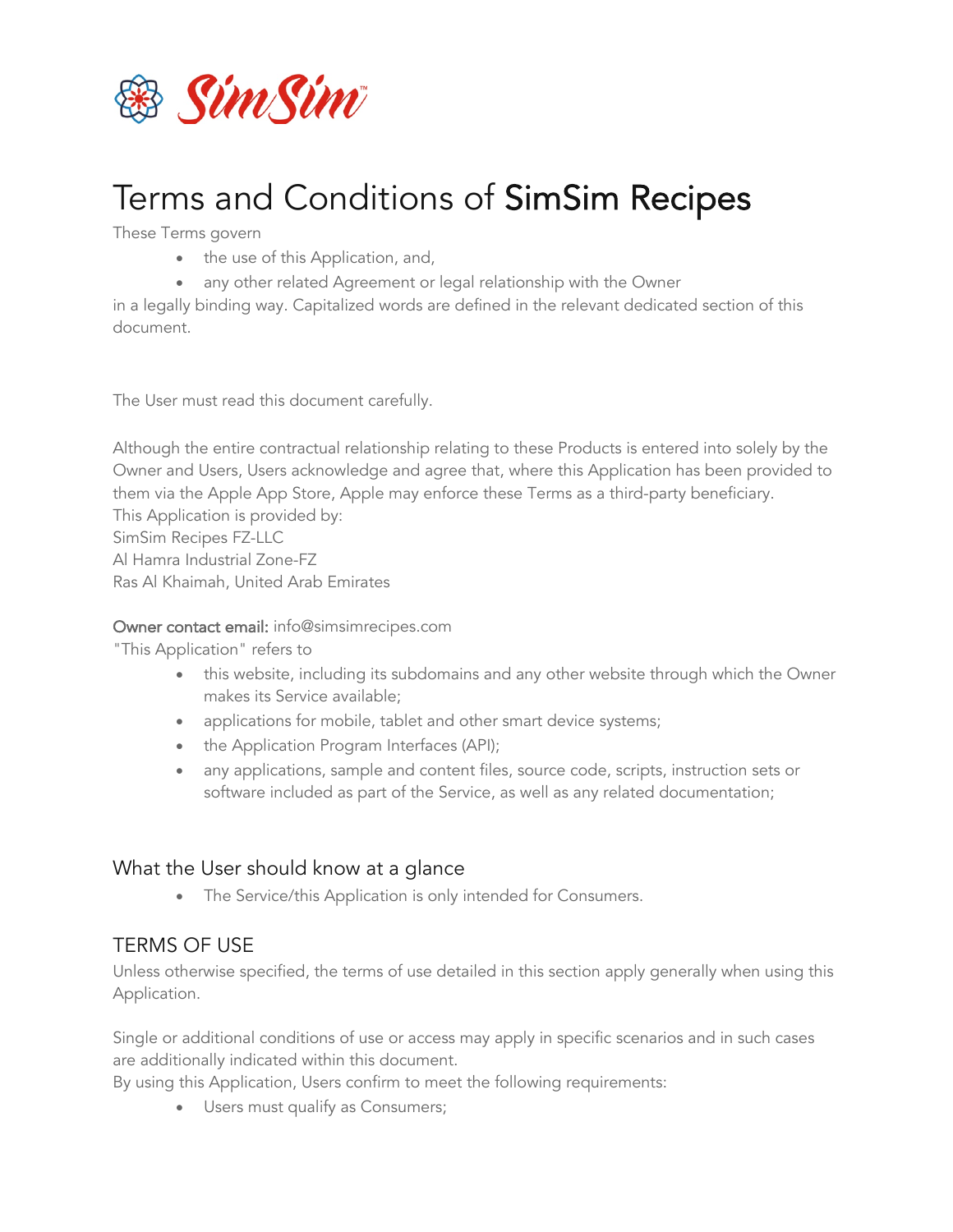

# Terms and Conditions of SimSim Recipes

These Terms govern

- the use of this Application, and,
- any other related Agreement or legal relationship with the Owner

in a legally binding way. Capitalized words are defined in the relevant dedicated section of this document.

The User must read this document carefully.

Although the entire contractual relationship relating to these Products is entered into solely by the Owner and Users, Users acknowledge and agree that, where this Application has been provided to them via the Apple App Store, Apple may enforce these Terms as a third-party beneficiary. This Application is provided by: SimSim Recipes FZ-LLC

Al Hamra Industrial Zone-FZ Ras Al Khaimah, United Arab Emirates

#### Owner contact email: info@simsimrecipes.com

"This Application" refers to

- this website, including its subdomains and any other website through which the Owner makes its Service available;
- applications for mobile, tablet and other smart device systems;
- the Application Program Interfaces (API);
- any applications, sample and content files, source code, scripts, instruction sets or software included as part of the Service, as well as any related documentation;

#### What the User should know at a glance

• The Service/this Application is only intended for Consumers.

#### TERMS OF USE

Unless otherwise specified, the terms of use detailed in this section apply generally when using this Application.

Single or additional conditions of use or access may apply in specific scenarios and in such cases are additionally indicated within this document.

By using this Application, Users confirm to meet the following requirements:

• Users must qualify as Consumers;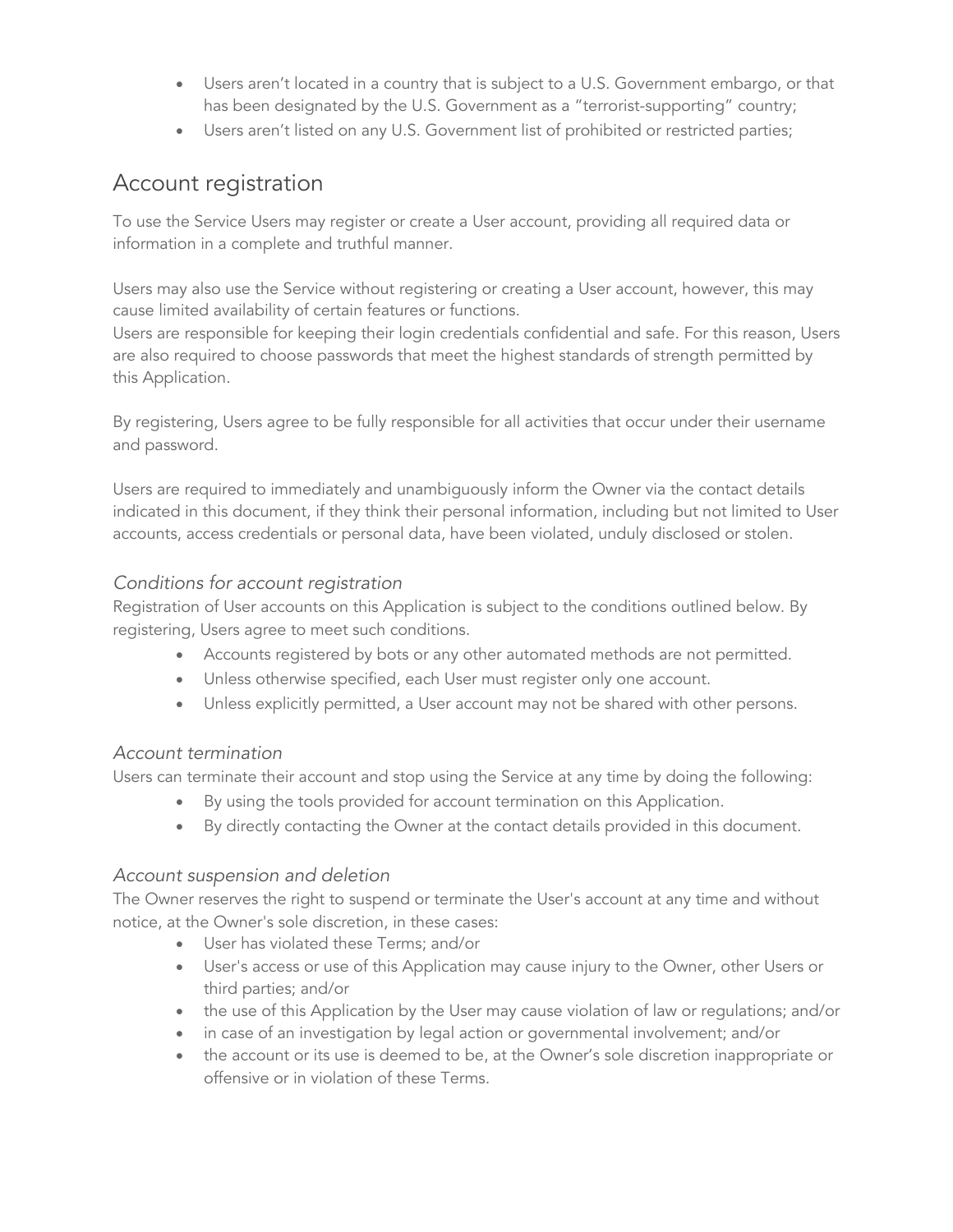- Users aren't located in a country that is subject to a U.S. Government embargo, or that has been designated by the U.S. Government as a "terrorist-supporting" country;
- Users aren't listed on any U.S. Government list of prohibited or restricted parties;

### Account registration

To use the Service Users may register or create a User account, providing all required data or information in a complete and truthful manner.

Users may also use the Service without registering or creating a User account, however, this may cause limited availability of certain features or functions.

Users are responsible for keeping their login credentials confidential and safe. For this reason, Users are also required to choose passwords that meet the highest standards of strength permitted by this Application.

By registering, Users agree to be fully responsible for all activities that occur under their username and password.

Users are required to immediately and unambiguously inform the Owner via the contact details indicated in this document, if they think their personal information, including but not limited to User accounts, access credentials or personal data, have been violated, unduly disclosed or stolen.

#### *Conditions for account registration*

Registration of User accounts on this Application is subject to the conditions outlined below. By registering, Users agree to meet such conditions.

- Accounts registered by bots or any other automated methods are not permitted.
- Unless otherwise specified, each User must register only one account.
- Unless explicitly permitted, a User account may not be shared with other persons.

#### *Account termination*

Users can terminate their account and stop using the Service at any time by doing the following:

- By using the tools provided for account termination on this Application.
- By directly contacting the Owner at the contact details provided in this document.

#### *Account suspension and deletion*

The Owner reserves the right to suspend or terminate the User's account at any time and without notice, at the Owner's sole discretion, in these cases:

- User has violated these Terms; and/or
- User's access or use of this Application may cause injury to the Owner, other Users or third parties; and/or
- the use of this Application by the User may cause violation of law or regulations; and/or
- in case of an investigation by legal action or governmental involvement; and/or
- the account or its use is deemed to be, at the Owner's sole discretion inappropriate or offensive or in violation of these Terms.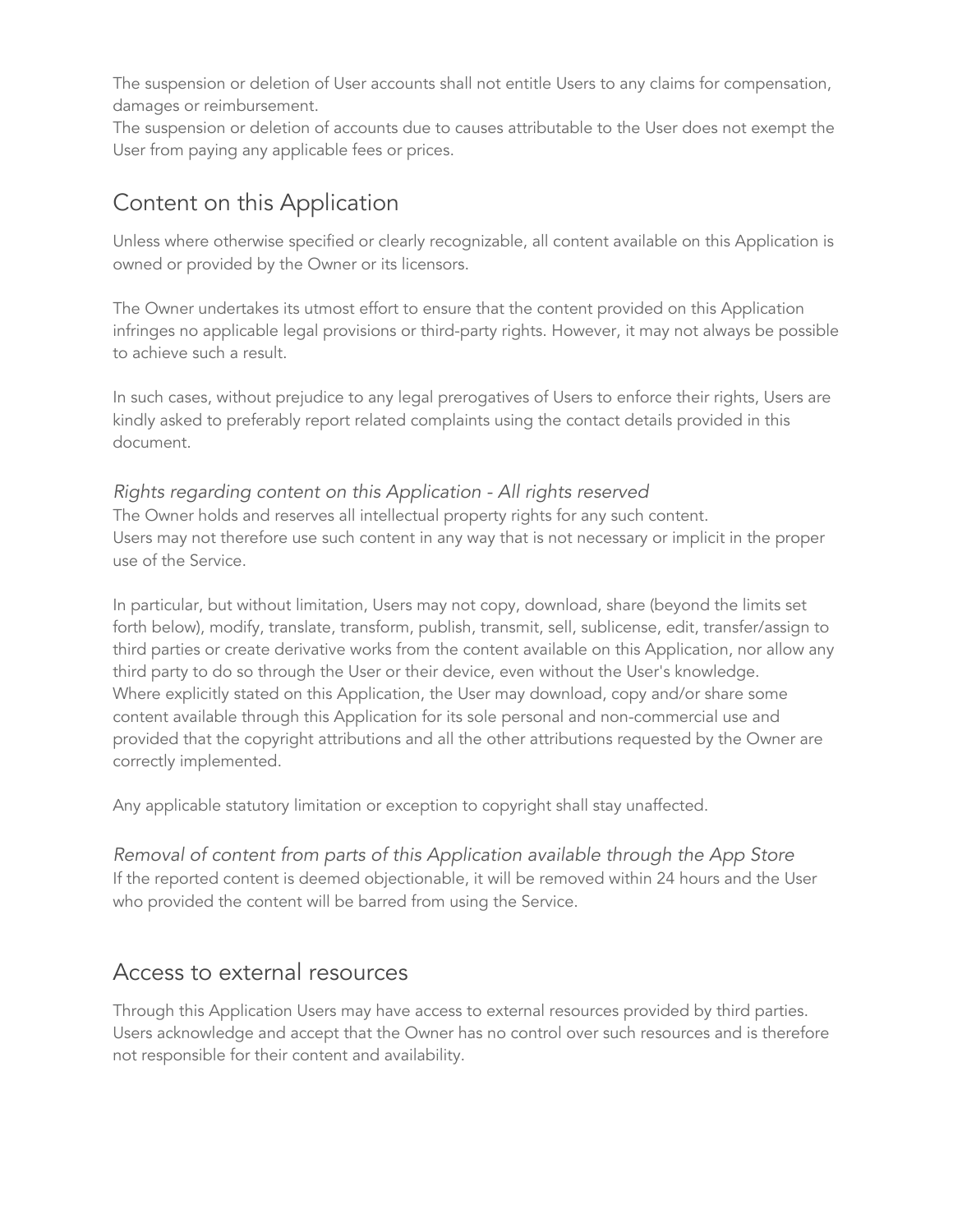The suspension or deletion of User accounts shall not entitle Users to any claims for compensation, damages or reimbursement.

The suspension or deletion of accounts due to causes attributable to the User does not exempt the User from paying any applicable fees or prices.

### Content on this Application

Unless where otherwise specified or clearly recognizable, all content available on this Application is owned or provided by the Owner or its licensors.

The Owner undertakes its utmost effort to ensure that the content provided on this Application infringes no applicable legal provisions or third-party rights. However, it may not always be possible to achieve such a result.

In such cases, without prejudice to any legal prerogatives of Users to enforce their rights, Users are kindly asked to preferably report related complaints using the contact details provided in this document.

#### *Rights regarding content on this Application - All rights reserved* The Owner holds and reserves all intellectual property rights for any such content. Users may not therefore use such content in any way that is not necessary or implicit in the proper use of the Service.

In particular, but without limitation, Users may not copy, download, share (beyond the limits set forth below), modify, translate, transform, publish, transmit, sell, sublicense, edit, transfer/assign to third parties or create derivative works from the content available on this Application, nor allow any third party to do so through the User or their device, even without the User's knowledge. Where explicitly stated on this Application, the User may download, copy and/or share some content available through this Application for its sole personal and non-commercial use and provided that the copyright attributions and all the other attributions requested by the Owner are correctly implemented.

Any applicable statutory limitation or exception to copyright shall stay unaffected.

*Removal of content from parts of this Application available through the App Store* If the reported content is deemed objectionable, it will be removed within 24 hours and the User who provided the content will be barred from using the Service.

### Access to external resources

Through this Application Users may have access to external resources provided by third parties. Users acknowledge and accept that the Owner has no control over such resources and is therefore not responsible for their content and availability.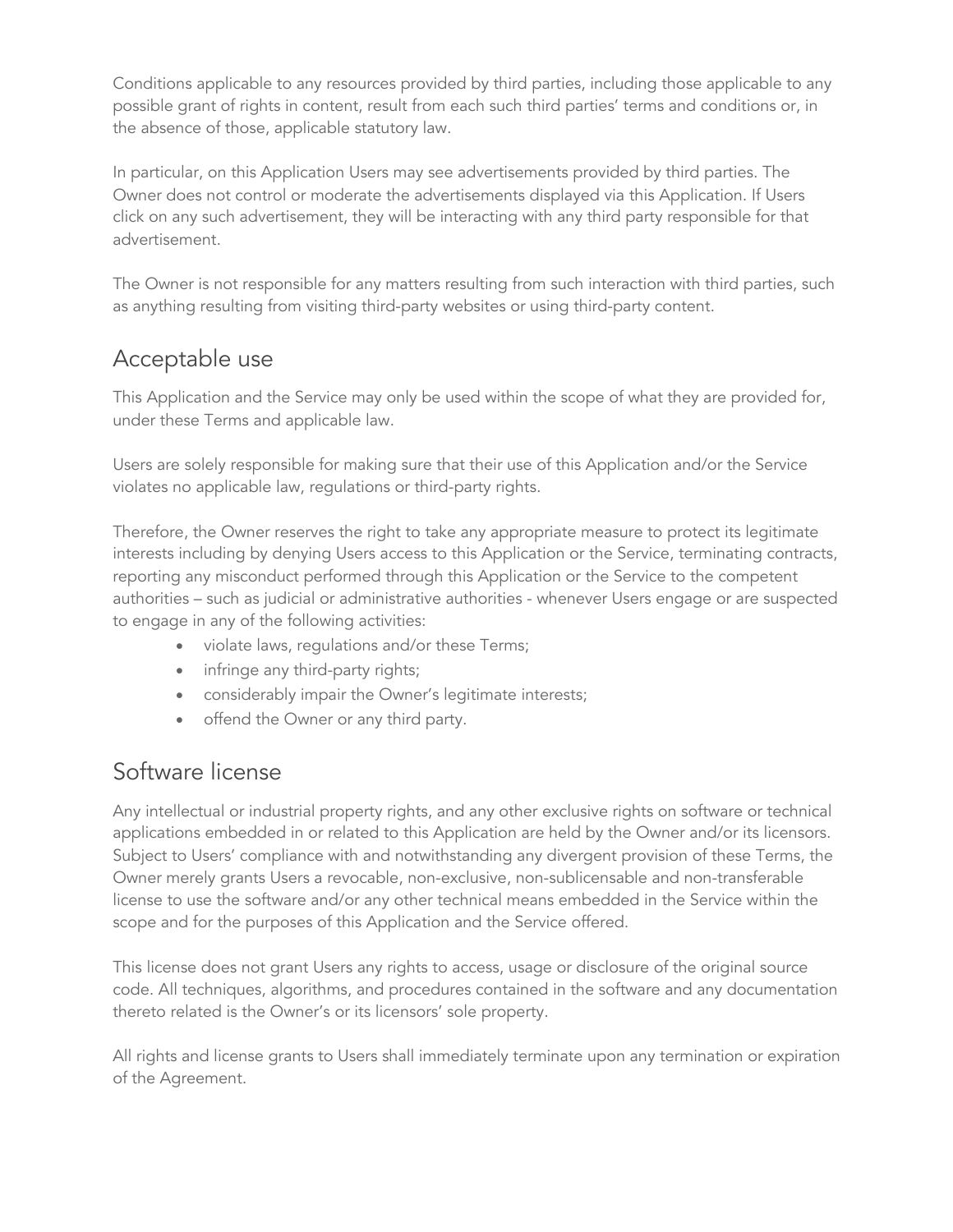Conditions applicable to any resources provided by third parties, including those applicable to any possible grant of rights in content, result from each such third parties' terms and conditions or, in the absence of those, applicable statutory law.

In particular, on this Application Users may see advertisements provided by third parties. The Owner does not control or moderate the advertisements displayed via this Application. If Users click on any such advertisement, they will be interacting with any third party responsible for that advertisement.

The Owner is not responsible for any matters resulting from such interaction with third parties, such as anything resulting from visiting third-party websites or using third-party content.

# Acceptable use

This Application and the Service may only be used within the scope of what they are provided for, under these Terms and applicable law.

Users are solely responsible for making sure that their use of this Application and/or the Service violates no applicable law, regulations or third-party rights.

Therefore, the Owner reserves the right to take any appropriate measure to protect its legitimate interests including by denying Users access to this Application or the Service, terminating contracts, reporting any misconduct performed through this Application or the Service to the competent authorities – such as judicial or administrative authorities - whenever Users engage or are suspected to engage in any of the following activities:

- violate laws, regulations and/or these Terms;
- infringe any third-party rights;
- considerably impair the Owner's legitimate interests;
- offend the Owner or any third party.

### Software license

Any intellectual or industrial property rights, and any other exclusive rights on software or technical applications embedded in or related to this Application are held by the Owner and/or its licensors. Subject to Users' compliance with and notwithstanding any divergent provision of these Terms, the Owner merely grants Users a revocable, non-exclusive, non-sublicensable and non-transferable license to use the software and/or any other technical means embedded in the Service within the scope and for the purposes of this Application and the Service offered.

This license does not grant Users any rights to access, usage or disclosure of the original source code. All techniques, algorithms, and procedures contained in the software and any documentation thereto related is the Owner's or its licensors' sole property.

All rights and license grants to Users shall immediately terminate upon any termination or expiration of the Agreement.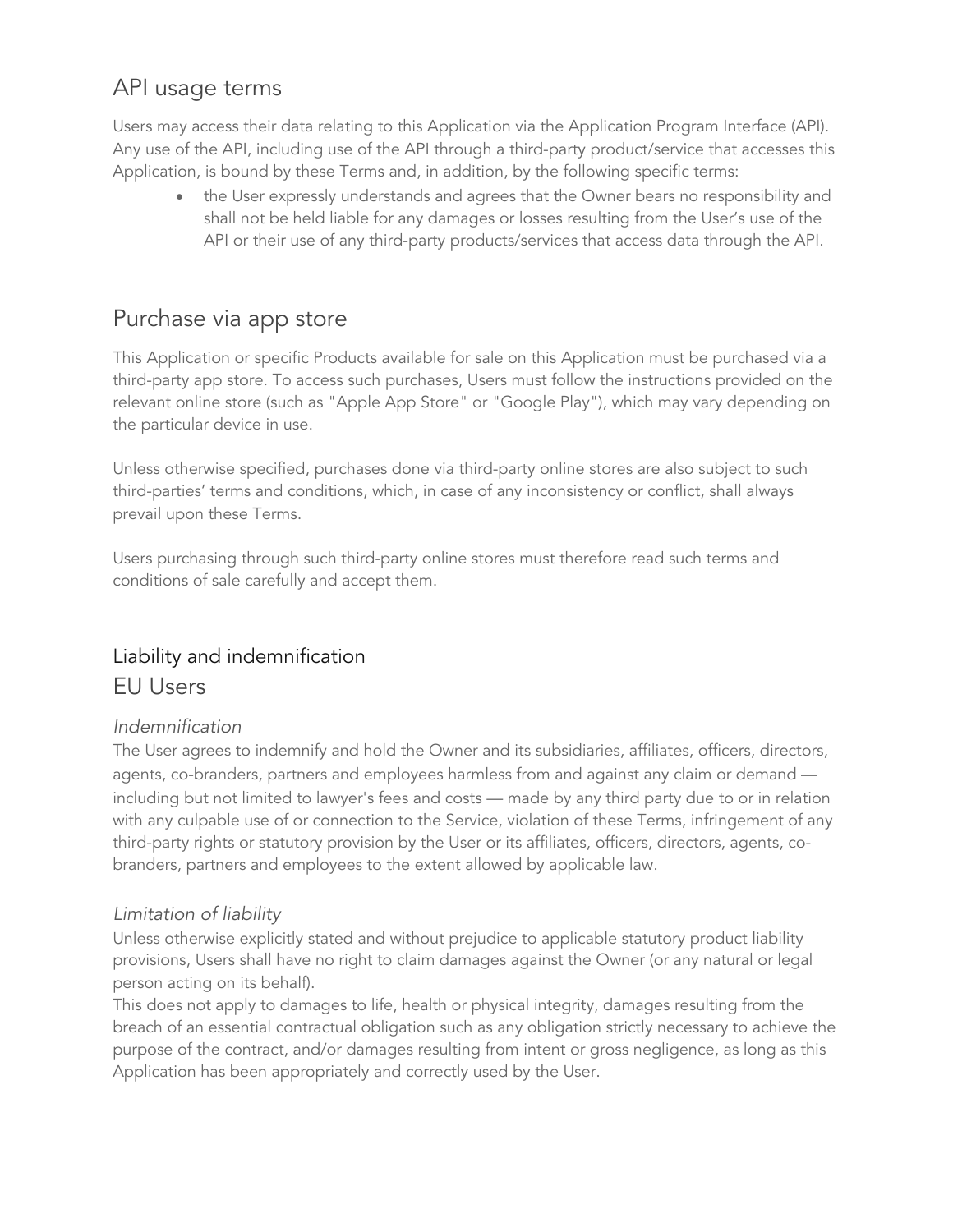### API usage terms

Users may access their data relating to this Application via the Application Program Interface (API). Any use of the API, including use of the API through a third-party product/service that accesses this Application, is bound by these Terms and, in addition, by the following specific terms:

the User expressly understands and agrees that the Owner bears no responsibility and shall not be held liable for any damages or losses resulting from the User's use of the API or their use of any third-party products/services that access data through the API.

### Purchase via app store

This Application or specific Products available for sale on this Application must be purchased via a third-party app store. To access such purchases, Users must follow the instructions provided on the relevant online store (such as "Apple App Store" or "Google Play"), which may vary depending on the particular device in use.

Unless otherwise specified, purchases done via third-party online stores are also subject to such third-parties' terms and conditions, which, in case of any inconsistency or conflict, shall always prevail upon these Terms.

Users purchasing through such third-party online stores must therefore read such terms and conditions of sale carefully and accept them.

### Liability and indemnification EU Users

#### *Indemnification*

The User agrees to indemnify and hold the Owner and its subsidiaries, affiliates, officers, directors, agents, co-branders, partners and employees harmless from and against any claim or demand including but not limited to lawyer's fees and costs — made by any third party due to or in relation with any culpable use of or connection to the Service, violation of these Terms, infringement of any third-party rights or statutory provision by the User or its affiliates, officers, directors, agents, cobranders, partners and employees to the extent allowed by applicable law.

#### *Limitation of liability*

Unless otherwise explicitly stated and without prejudice to applicable statutory product liability provisions, Users shall have no right to claim damages against the Owner (or any natural or legal person acting on its behalf).

This does not apply to damages to life, health or physical integrity, damages resulting from the breach of an essential contractual obligation such as any obligation strictly necessary to achieve the purpose of the contract, and/or damages resulting from intent or gross negligence, as long as this Application has been appropriately and correctly used by the User.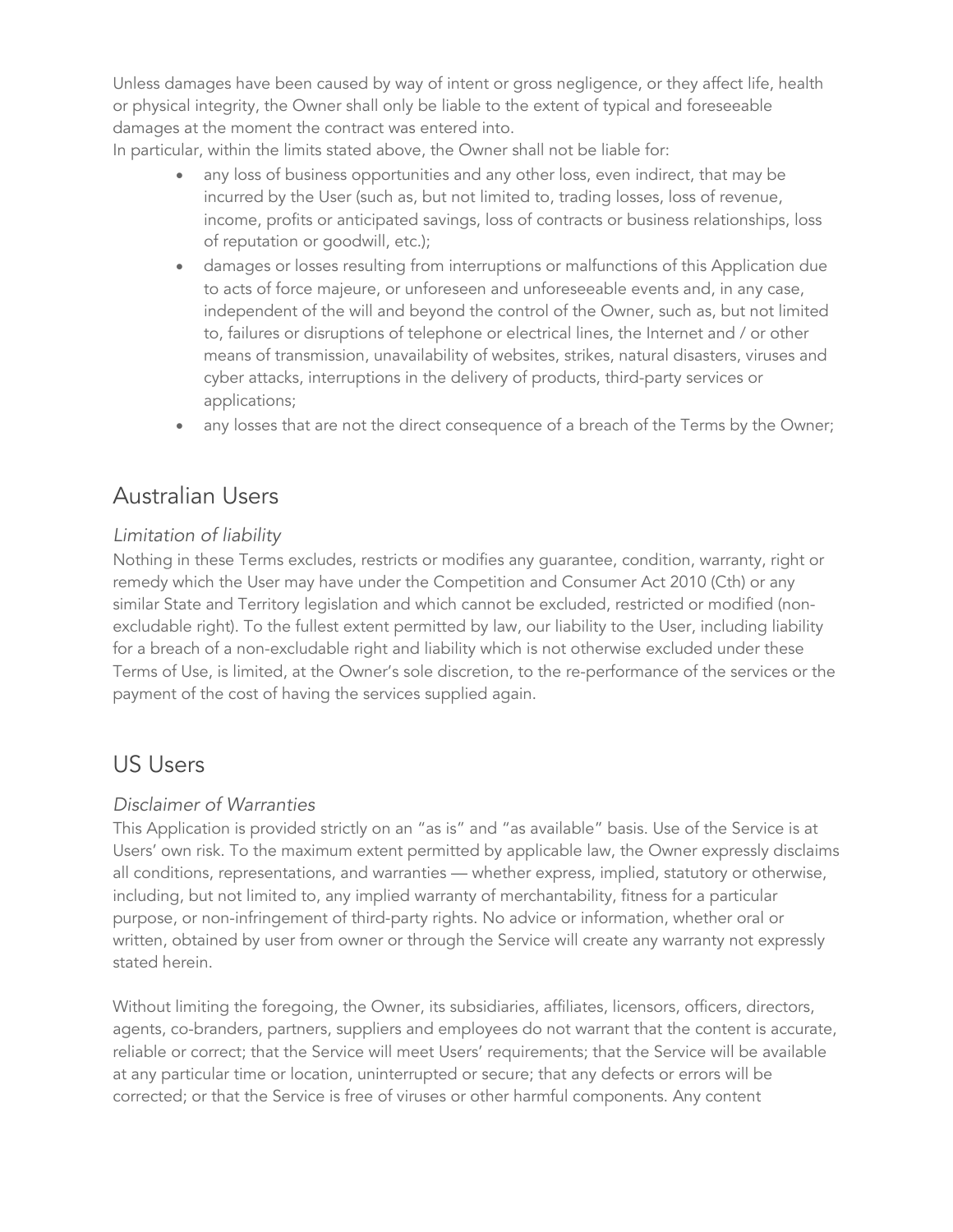Unless damages have been caused by way of intent or gross negligence, or they affect life, health or physical integrity, the Owner shall only be liable to the extent of typical and foreseeable damages at the moment the contract was entered into.

In particular, within the limits stated above, the Owner shall not be liable for:

- any loss of business opportunities and any other loss, even indirect, that may be incurred by the User (such as, but not limited to, trading losses, loss of revenue, income, profits or anticipated savings, loss of contracts or business relationships, loss of reputation or goodwill, etc.);
- damages or losses resulting from interruptions or malfunctions of this Application due to acts of force majeure, or unforeseen and unforeseeable events and, in any case, independent of the will and beyond the control of the Owner, such as, but not limited to, failures or disruptions of telephone or electrical lines, the Internet and / or other means of transmission, unavailability of websites, strikes, natural disasters, viruses and cyber attacks, interruptions in the delivery of products, third-party services or applications;
- any losses that are not the direct consequence of a breach of the Terms by the Owner;

### Australian Users

#### *Limitation of liability*

Nothing in these Terms excludes, restricts or modifies any guarantee, condition, warranty, right or remedy which the User may have under the Competition and Consumer Act 2010 (Cth) or any similar State and Territory legislation and which cannot be excluded, restricted or modified (nonexcludable right). To the fullest extent permitted by law, our liability to the User, including liability for a breach of a non-excludable right and liability which is not otherwise excluded under these Terms of Use, is limited, at the Owner's sole discretion, to the re-performance of the services or the payment of the cost of having the services supplied again.

### US Users

#### *Disclaimer of Warranties*

This Application is provided strictly on an "as is" and "as available" basis. Use of the Service is at Users' own risk. To the maximum extent permitted by applicable law, the Owner expressly disclaims all conditions, representations, and warranties — whether express, implied, statutory or otherwise, including, but not limited to, any implied warranty of merchantability, fitness for a particular purpose, or non-infringement of third-party rights. No advice or information, whether oral or written, obtained by user from owner or through the Service will create any warranty not expressly stated herein.

Without limiting the foregoing, the Owner, its subsidiaries, affiliates, licensors, officers, directors, agents, co-branders, partners, suppliers and employees do not warrant that the content is accurate, reliable or correct; that the Service will meet Users' requirements; that the Service will be available at any particular time or location, uninterrupted or secure; that any defects or errors will be corrected; or that the Service is free of viruses or other harmful components. Any content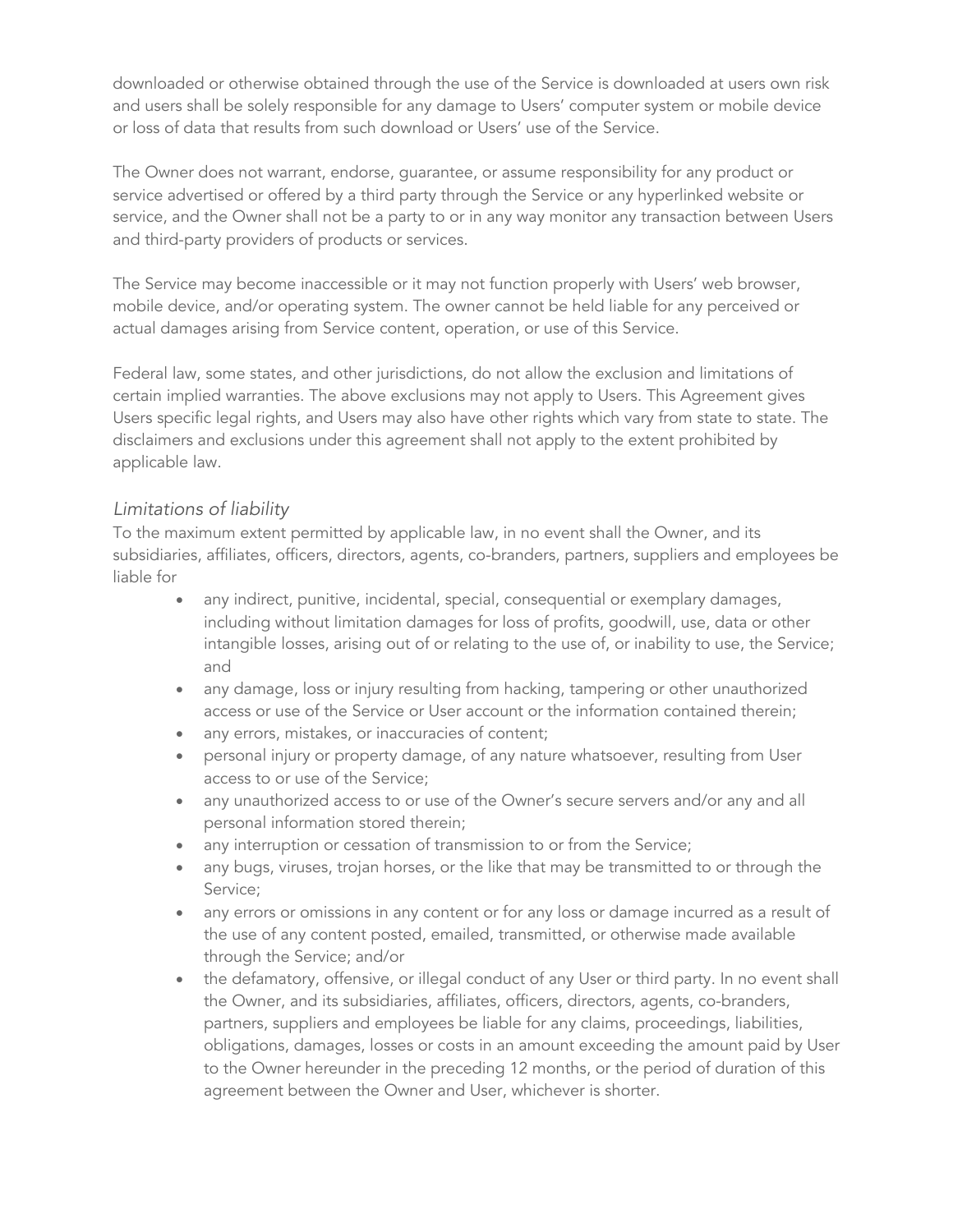downloaded or otherwise obtained through the use of the Service is downloaded at users own risk and users shall be solely responsible for any damage to Users' computer system or mobile device or loss of data that results from such download or Users' use of the Service.

The Owner does not warrant, endorse, guarantee, or assume responsibility for any product or service advertised or offered by a third party through the Service or any hyperlinked website or service, and the Owner shall not be a party to or in any way monitor any transaction between Users and third-party providers of products or services.

The Service may become inaccessible or it may not function properly with Users' web browser, mobile device, and/or operating system. The owner cannot be held liable for any perceived or actual damages arising from Service content, operation, or use of this Service.

Federal law, some states, and other jurisdictions, do not allow the exclusion and limitations of certain implied warranties. The above exclusions may not apply to Users. This Agreement gives Users specific legal rights, and Users may also have other rights which vary from state to state. The disclaimers and exclusions under this agreement shall not apply to the extent prohibited by applicable law.

#### *Limitations of liability*

To the maximum extent permitted by applicable law, in no event shall the Owner, and its subsidiaries, affiliates, officers, directors, agents, co-branders, partners, suppliers and employees be liable for

- any indirect, punitive, incidental, special, consequential or exemplary damages, including without limitation damages for loss of profits, goodwill, use, data or other intangible losses, arising out of or relating to the use of, or inability to use, the Service; and
- any damage, loss or injury resulting from hacking, tampering or other unauthorized access or use of the Service or User account or the information contained therein;
- any errors, mistakes, or inaccuracies of content;
- personal injury or property damage, of any nature whatsoever, resulting from User access to or use of the Service;
- any unauthorized access to or use of the Owner's secure servers and/or any and all personal information stored therein;
- any interruption or cessation of transmission to or from the Service;
- any bugs, viruses, trojan horses, or the like that may be transmitted to or through the Service;
- any errors or omissions in any content or for any loss or damage incurred as a result of the use of any content posted, emailed, transmitted, or otherwise made available through the Service; and/or
- the defamatory, offensive, or illegal conduct of any User or third party. In no event shall the Owner, and its subsidiaries, affiliates, officers, directors, agents, co-branders, partners, suppliers and employees be liable for any claims, proceedings, liabilities, obligations, damages, losses or costs in an amount exceeding the amount paid by User to the Owner hereunder in the preceding 12 months, or the period of duration of this agreement between the Owner and User, whichever is shorter.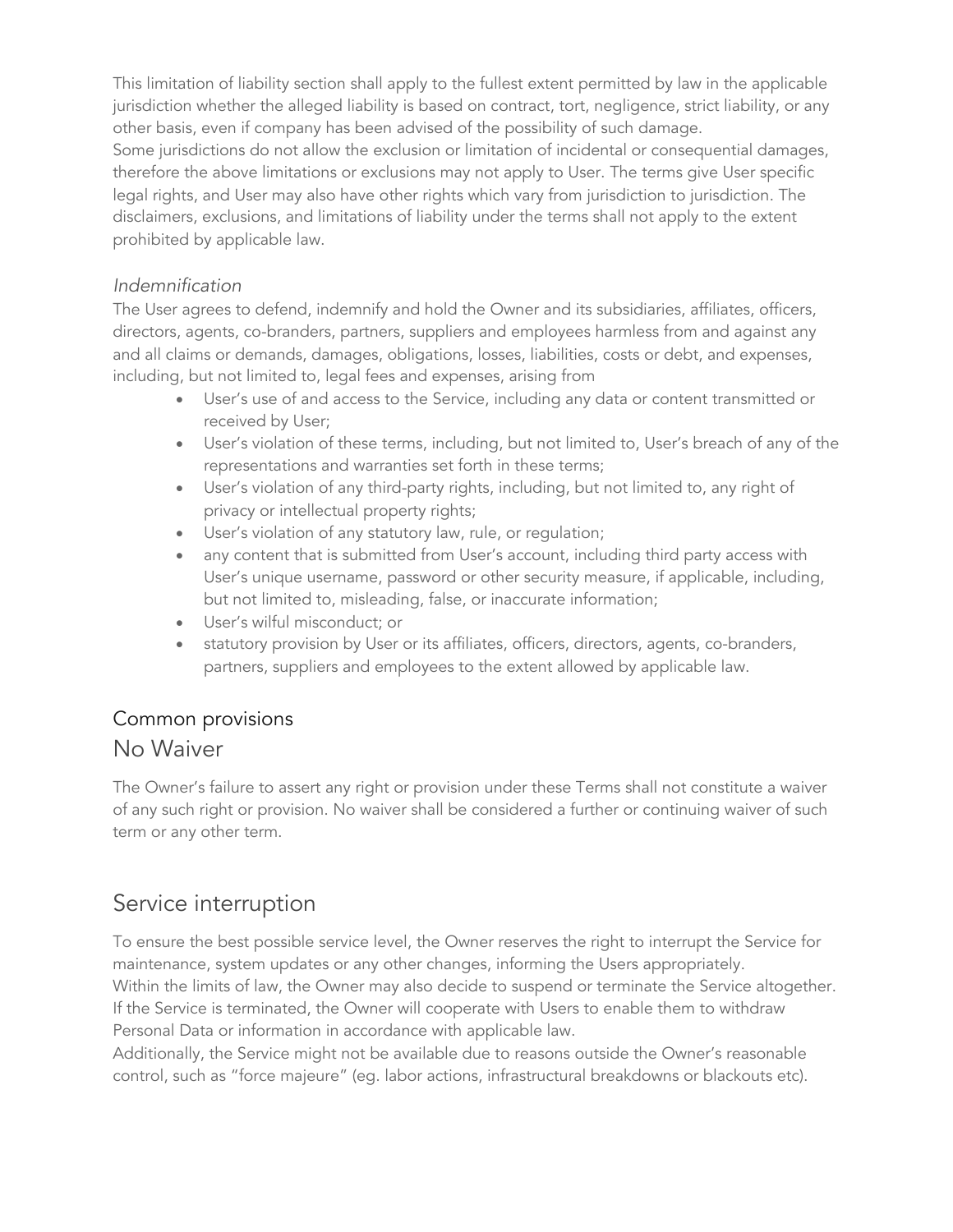This limitation of liability section shall apply to the fullest extent permitted by law in the applicable jurisdiction whether the alleged liability is based on contract, tort, negligence, strict liability, or any other basis, even if company has been advised of the possibility of such damage.

Some jurisdictions do not allow the exclusion or limitation of incidental or consequential damages, therefore the above limitations or exclusions may not apply to User. The terms give User specific legal rights, and User may also have other rights which vary from jurisdiction to jurisdiction. The disclaimers, exclusions, and limitations of liability under the terms shall not apply to the extent prohibited by applicable law.

#### *Indemnification*

The User agrees to defend, indemnify and hold the Owner and its subsidiaries, affiliates, officers, directors, agents, co-branders, partners, suppliers and employees harmless from and against any and all claims or demands, damages, obligations, losses, liabilities, costs or debt, and expenses, including, but not limited to, legal fees and expenses, arising from

- User's use of and access to the Service, including any data or content transmitted or received by User;
- User's violation of these terms, including, but not limited to, User's breach of any of the representations and warranties set forth in these terms;
- User's violation of any third-party rights, including, but not limited to, any right of privacy or intellectual property rights;
- User's violation of any statutory law, rule, or regulation;
- any content that is submitted from User's account, including third party access with User's unique username, password or other security measure, if applicable, including, but not limited to, misleading, false, or inaccurate information;
- User's wilful misconduct; or
- statutory provision by User or its affiliates, officers, directors, agents, co-branders, partners, suppliers and employees to the extent allowed by applicable law.

### Common provisions

### No Waiver

The Owner's failure to assert any right or provision under these Terms shall not constitute a waiver of any such right or provision. No waiver shall be considered a further or continuing waiver of such term or any other term.

### Service interruption

To ensure the best possible service level, the Owner reserves the right to interrupt the Service for maintenance, system updates or any other changes, informing the Users appropriately. Within the limits of law, the Owner may also decide to suspend or terminate the Service altogether. If the Service is terminated, the Owner will cooperate with Users to enable them to withdraw Personal Data or information in accordance with applicable law.

Additionally, the Service might not be available due to reasons outside the Owner's reasonable control, such as "force majeure" (eg. labor actions, infrastructural breakdowns or blackouts etc).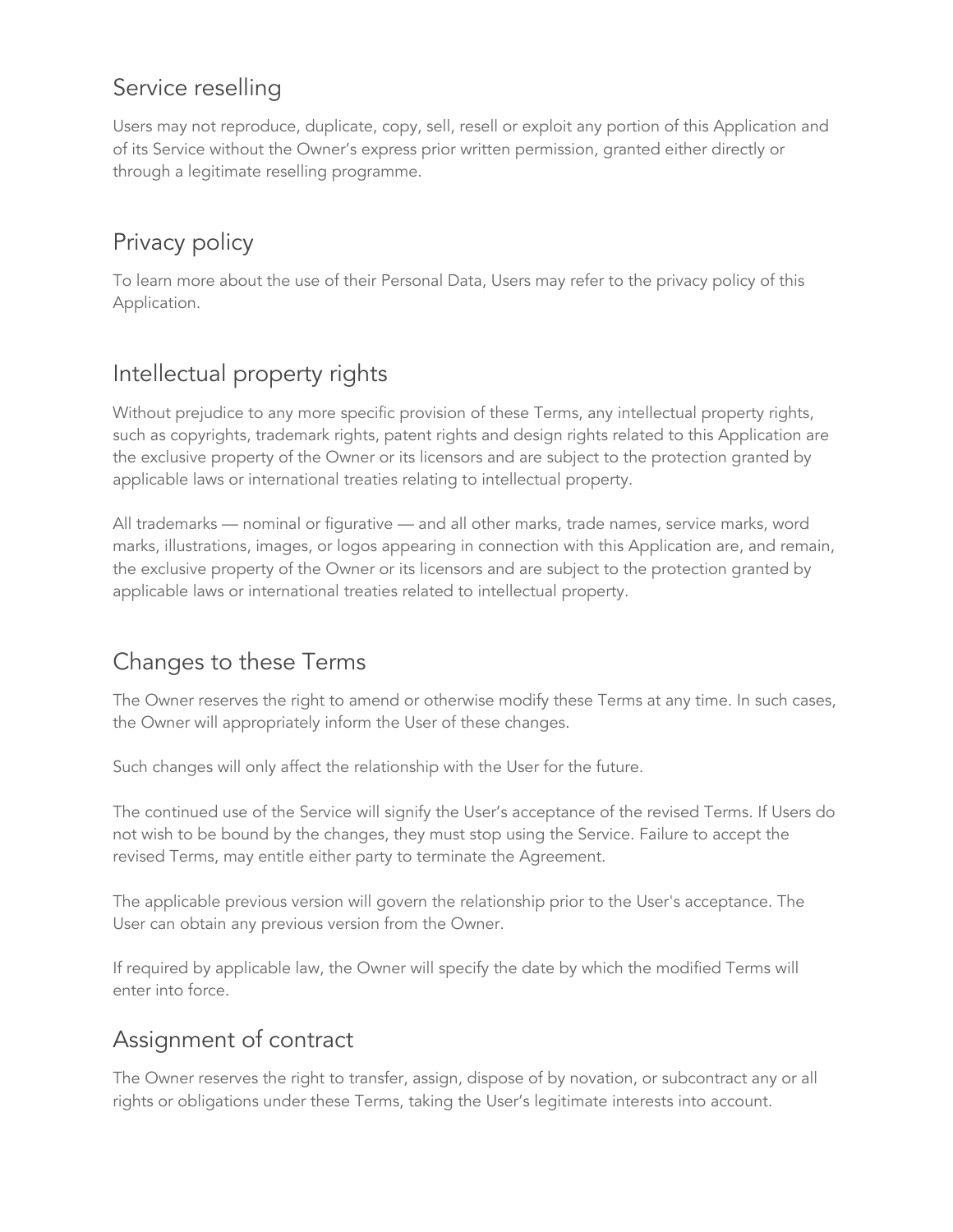### Service reselling

Users may not reproduce, duplicate, copy, sell, resell or exploit any portion of this Application and of its Service without the Owner's express prior written permission, granted either directly or through a legitimate reselling programme.

# Privacy policy

To learn more about the use of their Personal Data, Users may refer to the privacy policy of this Application.

# Intellectual property rights

Without prejudice to any more specific provision of these Terms, any intellectual property rights, such as copyrights, trademark rights, patent rights and design rights related to this Application are the exclusive property of the Owner or its licensors and are subject to the protection granted by applicable laws or international treaties relating to intellectual property.

All trademarks — nominal or figurative — and all other marks, trade names, service marks, word marks, illustrations, images, or logos appearing in connection with this Application are, and remain, the exclusive property of the Owner or its licensors and are subject to the protection granted by applicable laws or international treaties related to intellectual property.

# Changes to these Terms

The Owner reserves the right to amend or otherwise modify these Terms at any time. In such cases, the Owner will appropriately inform the User of these changes.

Such changes will only affect the relationship with the User for the future.

The continued use of the Service will signify the User's acceptance of the revised Terms. If Users do not wish to be bound by the changes, they must stop using the Service. Failure to accept the revised Terms, may entitle either party to terminate the Agreement.

The applicable previous version will govern the relationship prior to the User's acceptance. The User can obtain any previous version from the Owner.

If required by applicable law, the Owner will specify the date by which the modified Terms will enter into force.

### Assignment of contract

The Owner reserves the right to transfer, assign, dispose of by novation, or subcontract any or all rights or obligations under these Terms, taking the User's legitimate interests into account.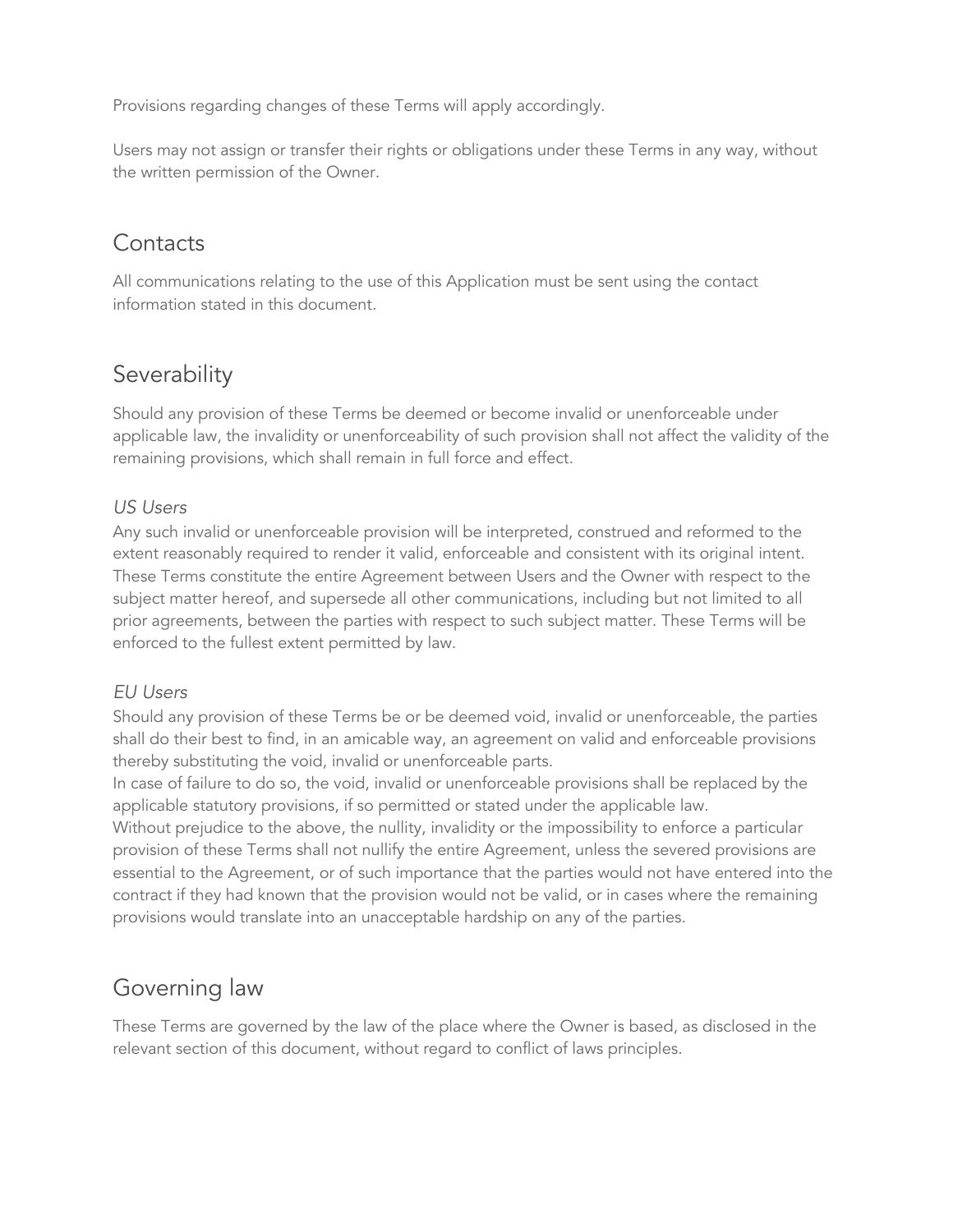Provisions regarding changes of these Terms will apply accordingly.

Users may not assign or transfer their rights or obligations under these Terms in any way, without the written permission of the Owner.

### **Contacts**

All communications relating to the use of this Application must be sent using the contact information stated in this document.

### Severability

Should any provision of these Terms be deemed or become invalid or unenforceable under applicable law, the invalidity or unenforceability of such provision shall not affect the validity of the remaining provisions, which shall remain in full force and effect.

#### *US Users*

Any such invalid or unenforceable provision will be interpreted, construed and reformed to the extent reasonably required to render it valid, enforceable and consistent with its original intent. These Terms constitute the entire Agreement between Users and the Owner with respect to the subject matter hereof, and supersede all other communications, including but not limited to all prior agreements, between the parties with respect to such subject matter. These Terms will be enforced to the fullest extent permitted by law.

#### *EU Users*

Should any provision of these Terms be or be deemed void, invalid or unenforceable, the parties shall do their best to find, in an amicable way, an agreement on valid and enforceable provisions thereby substituting the void, invalid or unenforceable parts.

In case of failure to do so, the void, invalid or unenforceable provisions shall be replaced by the applicable statutory provisions, if so permitted or stated under the applicable law.

Without prejudice to the above, the nullity, invalidity or the impossibility to enforce a particular provision of these Terms shall not nullify the entire Agreement, unless the severed provisions are essential to the Agreement, or of such importance that the parties would not have entered into the contract if they had known that the provision would not be valid, or in cases where the remaining provisions would translate into an unacceptable hardship on any of the parties.

### Governing law

These Terms are governed by the law of the place where the Owner is based, as disclosed in the relevant section of this document, without regard to conflict of laws principles.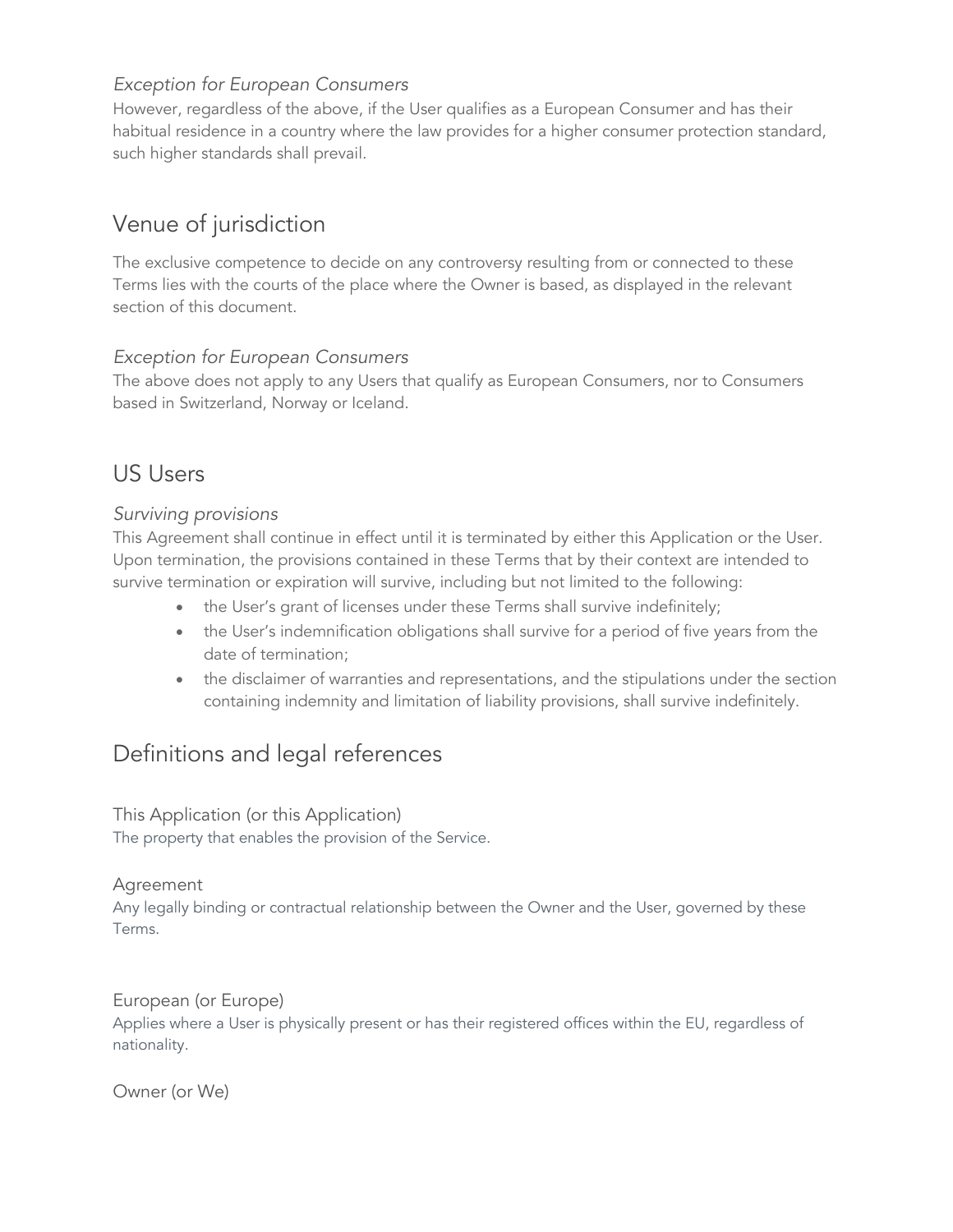#### *Exception for European Consumers*

However, regardless of the above, if the User qualifies as a European Consumer and has their habitual residence in a country where the law provides for a higher consumer protection standard, such higher standards shall prevail.

# Venue of jurisdiction

The exclusive competence to decide on any controversy resulting from or connected to these Terms lies with the courts of the place where the Owner is based, as displayed in the relevant section of this document.

#### *Exception for European Consumers*

The above does not apply to any Users that qualify as European Consumers, nor to Consumers based in Switzerland, Norway or Iceland.

### US Users

#### *Surviving provisions*

This Agreement shall continue in effect until it is terminated by either this Application or the User. Upon termination, the provisions contained in these Terms that by their context are intended to survive termination or expiration will survive, including but not limited to the following:

- the User's grant of licenses under these Terms shall survive indefinitely;
- the User's indemnification obligations shall survive for a period of five years from the date of termination;
- the disclaimer of warranties and representations, and the stipulations under the section containing indemnity and limitation of liability provisions, shall survive indefinitely.

### Definitions and legal references

This Application (or this Application) The property that enables the provision of the Service.

#### Agreement

Any legally binding or contractual relationship between the Owner and the User, governed by these Terms.

European (or Europe) Applies where a User is physically present or has their registered offices within the EU, regardless of nationality.

Owner (or We)